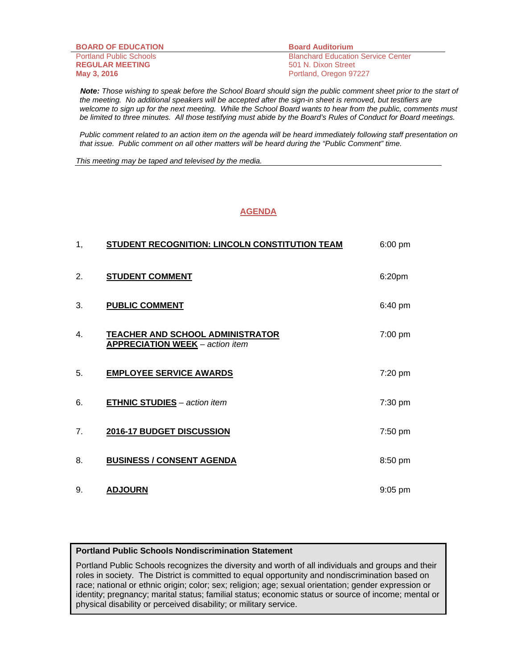| <b>BOARD OF EDUCATION</b>      | <b>Board Auditorium</b>                   |
|--------------------------------|-------------------------------------------|
| <b>Portland Public Schools</b> | <b>Blanchard Education Service Center</b> |
| <b>REGULAR MEETING</b>         | 501 N. Dixon Street                       |
| May 3, 2016                    | Portland, Oregon 97227                    |

 *Note: Those wishing to speak before the School Board should sign the public comment sheet prior to the start of the meeting. No additional speakers will be accepted after the sign-in sheet is removed, but testifiers are*  welcome to sign up for the next meeting. While the School Board wants to hear from the public, comments must *be limited to three minutes. All those testifying must abide by the Board's Rules of Conduct for Board meetings.* 

 *Public comment related to an action item on the agenda will be heard immediately following staff presentation on that issue. Public comment on all other matters will be heard during the "Public Comment" time.* 

*This meeting may be taped and televised by the media.* 

#### **AGENDA**

| 1, | <b>STUDENT RECOGNITION: LINCOLN CONSTITUTION TEAM</b>                             | 6:00 pm   |
|----|-----------------------------------------------------------------------------------|-----------|
| 2. | <b>STUDENT COMMENT</b>                                                            | 6:20pm    |
| 3. | <b>PUBLIC COMMENT</b>                                                             | 6:40 pm   |
| 4. | <b>TEACHER AND SCHOOL ADMINISTRATOR</b><br><b>APPRECIATION WEEK</b> - action item | 7:00 pm   |
| 5. | <b>EMPLOYEE SERVICE AWARDS</b>                                                    | 7:20 pm   |
| 6. | <b>ETHNIC STUDIES</b> - action item                                               | 7:30 pm   |
| 7. | 2016-17 BUDGET DISCUSSION                                                         | 7:50 pm   |
| 8. | <b>BUSINESS / CONSENT AGENDA</b>                                                  | 8:50 pm   |
| 9. | <b>ADJOURN</b>                                                                    | $9:05$ pm |

#### **Portland Public Schools Nondiscrimination Statement**

Portland Public Schools recognizes the diversity and worth of all individuals and groups and their roles in society. The District is committed to equal opportunity and nondiscrimination based on race; national or ethnic origin; color; sex; religion; age; sexual orientation; gender expression or identity; pregnancy; marital status; familial status; economic status or source of income; mental or physical disability or perceived disability; or military service.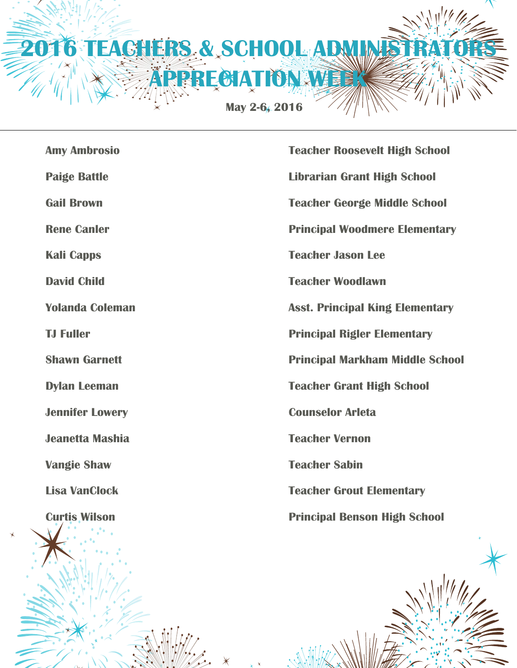

| <b>Amy Ambrosio</b>    | <b>Teacher Roosevelt High School</b>   |
|------------------------|----------------------------------------|
| <b>Paige Battle</b>    | <b>Librarian Grant High School</b>     |
| <b>Gail Brown</b>      | <b>Teacher George Middle School</b>    |
| <b>Rene Canler</b>     | <b>Principal Woodmere Elementary</b>   |
| <b>Kali Capps</b>      | <b>Teacher Jason Lee</b>               |
| <b>David Child</b>     | <b>Teacher Woodlawn</b>                |
| <b>Yolanda Coleman</b> | <b>Asst. Principal King Elementary</b> |
| <b>TJ Fuller</b>       | <b>Principal Rigler Elementary</b>     |
| <b>Shawn Garnett</b>   | <b>Principal Markham Middle School</b> |
| <b>Dylan Leeman</b>    | <b>Teacher Grant High School</b>       |
| <b>Jennifer Lowery</b> | <b>Counselor Arleta</b>                |
| <b>Jeanetta Mashia</b> | <b>Teacher Vernon</b>                  |
| <b>Vangie Shaw</b>     | <b>Teacher Sabin</b>                   |
| <b>Lisa VanClock</b>   | <b>Teacher Grout Elementary</b>        |
| <b>Curtis Wilson</b>   | <b>Principal Benson High School</b>    |
|                        |                                        |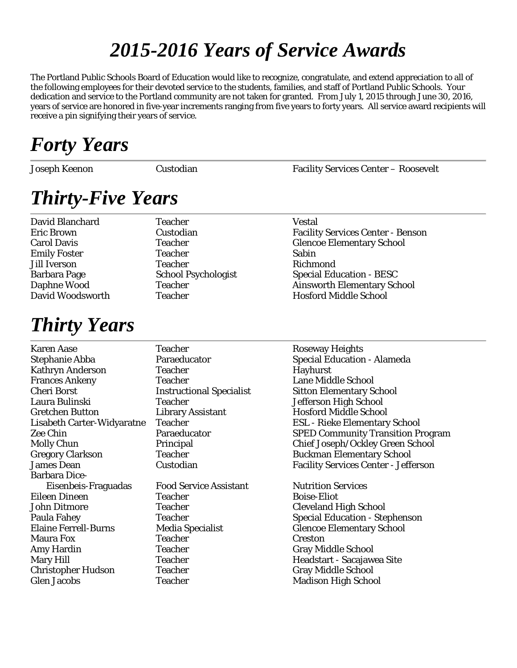### *2015-2016 Years of Service Awards*

The Portland Public Schools Board of Education would like to recognize, congratulate, and extend appreciation to all of the following employees for their devoted service to the students, families, and staff of Portland Public Schools. Your dedication and service to the Portland community are not taken for granted. From July 1, 2015 through June 30, 2016, years of service are honored in five-year increments ranging from five years to forty years. All service award recipients will receive a pin signifying their years of service.

### *Forty Years*

Joseph Keenon Custodian Facility Services Center – Roosevelt

# *Thirty-Five Years*

David Blanchard Teacher Teacher Vestal

### *Thirty Years*

Emily Foster Teacher Teacher Sabin Jill Iverson Teacher Richmond

Eric Brown Custodian Facility Services Center - Benson Carol Davis Teacher Glencoe Elementary School Barbara Page School Psychologist Special Education - BESC Daphne Wood Teacher **Teacher** Ainsworth Elementary School David Woodsworth Teacher Teacher Hosford Middle School

| <b>Teacher</b>                | <b>Roseway Heights</b>                      |
|-------------------------------|---------------------------------------------|
| Paraeducator                  | <b>Special Education - Alameda</b>          |
| <b>Teacher</b>                | <b>Hayhurst</b>                             |
| <b>Teacher</b>                | <b>Lane Middle School</b>                   |
|                               | <b>Sitton Elementary School</b>             |
| <b>Teacher</b>                | Jefferson High School                       |
| <b>Library Assistant</b>      | <b>Hosford Middle School</b>                |
| <b>Teacher</b>                | <b>ESL</b> - Rieke Elementary School        |
| Paraeducator                  | <b>SPED Community Transition Program</b>    |
| Principal                     | Chief Joseph/Ockley Green School            |
| Teacher                       | <b>Buckman Elementary School</b>            |
| Custodian                     | <b>Facility Services Center - Jefferson</b> |
|                               |                                             |
| <b>Food Service Assistant</b> | <b>Nutrition Services</b>                   |
| <b>Teacher</b>                | <b>Boise-Eliot</b>                          |
| <b>Teacher</b>                | <b>Cleveland High School</b>                |
| <b>Teacher</b>                | <b>Special Education - Stephenson</b>       |
| Media Specialist              | <b>Glencoe Elementary School</b>            |
| <b>Teacher</b>                | Creston                                     |
| <b>Teacher</b>                | <b>Gray Middle School</b>                   |
| <b>Teacher</b>                | Headstart - Sacajawea Site                  |
| <b>Teacher</b>                | <b>Gray Middle School</b>                   |
| <b>Teacher</b>                | <b>Madison High School</b>                  |
|                               | <b>Instructional Specialist</b>             |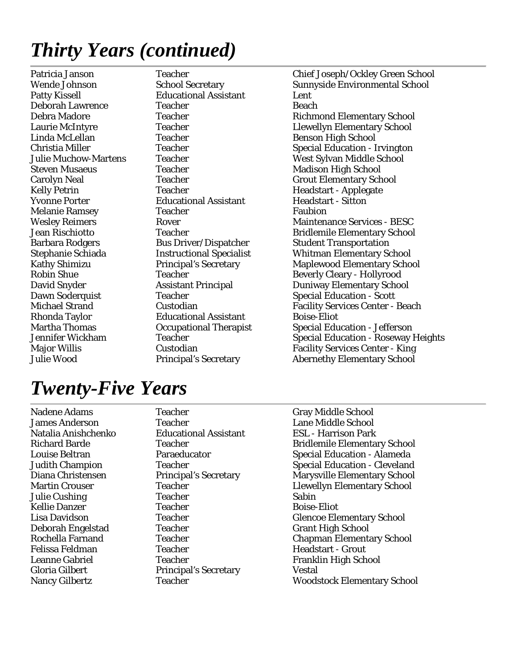# *Thirty Years (continued)*

Patty Kissell Educational Assistant Lent Deborah Lawrence Teacher Teacher Beach Linda McLellan Teacher Teacher Benson High School Steven Musaeus **Teacher** Madison High School Kelly Petrin Teacher Teacher Headstart - Applegate Yvonne Porter Educational Assistant Headstart - Sitton Melanie Ramsey **Teacher** Faubion Barbara Rodgers Bus Driver/Dispatcher Student Transportation Rhonda Taylor **Educational Assistant** Boise-Eliot

Patricia Janson Teacher (Teacher Chief Joseph/Ockley Green School Wende Johnson School Secretary (Teacher School Sunnyside Environmental School (Teacher School Secretary (Teacher School Sunnyside Environmental School Secre Wende Johnson School Secretary Sunnyside Environmental School Debra Madore **Teacher** Teacher Richmond Elementary School Laurie McIntyre Teacher Llewellyn Elementary School Christia Miller Teacher Special Education - Irvington Julie Muchow-Martens Teacher West Sylvan Middle School Carolyn Neal Teacher Grout Elementary School Wesley Reimers **Rover** Rover **Maintenance Services** - BESC Jean Rischiotto Teacher Teacher Bridlemile Elementary School Stephanie Schiada Instructional Specialist Whitman Elementary School Kathy Shimizu Principal's Secretary Maplewood Elementary School Robin Shue Teacher Teacher Beverly Cleary - Hollyrood David Snyder **Assistant Principal** Duniway Elementary School Dawn Soderquist Teacher Teacher Special Education - Scott Michael Strand Custodian Custodian Facility Services Center - Beach Martha Thomas Occupational Therapist Special Education - Jefferson Jennifer Wickham Teacher Special Education - Roseway Heights Major Willis Custodian Facility Services Center - King Julie Wood Principal's Secretary Abernethy Elementary School

### *Twenty-Five Years*

Nadene Adams Teacher Gray Middle School James Anderson Teacher Lane Middle School Natalia Anishchenko Educational Assistant ESL - Harrison Park Julie Cushing Teacher Teacher Sabin Kellie Danzer **Teacher** Teacher **Boise-Eliot** Deborah Engelstad Teacher Grant High School Felissa Feldman Teacher Teacher Headstart - Grout Leanne Gabriel Teacher Franklin High School Gloria Gilbert Principal's Secretary Vestal

Richard Barde Teacher Teacher Bridlemile Elementary School Louise Beltran **Paraeducator** Paraeducator Special Education - Alameda Judith Champion Teacher Teacher Special Education - Cleveland Diana Christensen Principal's Secretary Marysville Elementary School Martin Crouser **Teacher** Teacher Llewellyn Elementary School Lisa Davidson Teacher Teacher Glencoe Elementary School Rochella Farnand Teacher Chapman Elementary School Nancy Gilbertz Teacher Woodstock Elementary School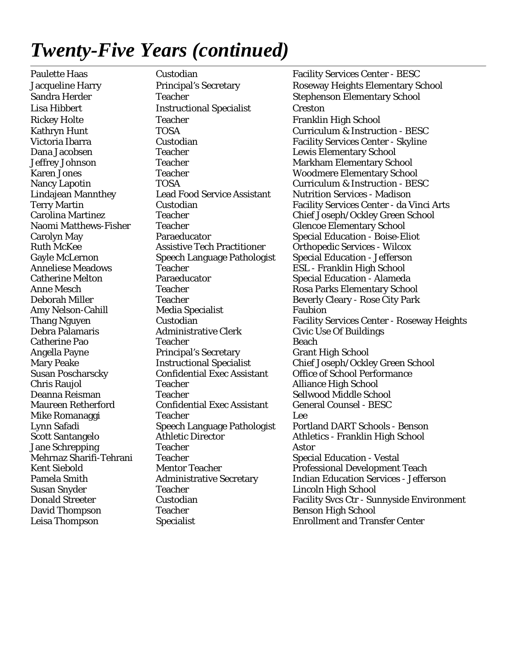### *Twenty-Five Years (continued)*

Leisa Thompson Specialist Enrollment and Transfer Center

Lisa Hibbert Instructional Specialist Creston Rickey Holte **Franklin High School** Teacher Franklin High School Dana Jacobsen Teacher Lewis Elementary School Teacher Glencoe Elementary School Anneliese Meadows Teacher Teacher ESL - Franklin High School Amy Nelson-Cahill Media Specialist Faubion Debra Palamaris Administrative Clerk Civic Use Of Buildings Catherine Pao Teacher Teacher Beach Angella Payne **Principal's Secretary** Grant High School Chris Raujol **Teacher** Teacher Alliance High School Deanna Reisman Teacher Sellwood Middle School Maureen Retherford Confidential Exec Assistant General Counsel - BESC Mike Romanaggi Teacher Lee Jane Schrepping Teacher Astor Teacher Special Education - Vestal Susan Snyder Teacher Lincoln High School David Thompson Teacher Teacher Benson High School

Paulette Haas Custodian Custodian Facility Services Center - BESC Jacqueline Harry Principal's Secretary Roseway Heights Elementary School Sandra Herder Teacher Stephenson Elementary School Kathryn Hunt TOSA Curriculum & Instruction - BESC Victoria Ibarra Custodian Facility Services Center - Skyline Jeffrey Johnson Teacher Teacher Markham Elementary School Karen Jones Teacher Woodmere Elementary School Nancy Lapotin TOSA Curriculum & Instruction - BESC Lindajean Mannthey Lead Food Service Assistant Nutrition Services - Madison Terry Martin Custodian Facility Services Center - da Vinci Arts Carolina Martinez Teacher Chief Joseph/Ockley Green School Carolyn May **Paraeducator** Special Education - Boise-Eliot Ruth McKee Assistive Tech Practitioner Orthopedic Services - Wilcox Gayle McLernon Speech Language Pathologist Special Education - Jefferson Catherine Melton Paraeducator Special Education - Alameda Anne Mesch Teacher Rosa Parks Elementary School Deborah Miller Teacher Beverly Cleary - Rose City Park Thang Nguyen Custodian Custodian Facility Services Center - Roseway Heights Mary Peake **Instructional Specialist** Chief Joseph/Ockley Green School Susan Poscharscky Confidential Exec Assistant Office of School Performance Lynn Safadi Speech Language Pathologist Portland DART Schools - Benson Scott Santangelo Athletic Director Athletics - Franklin High School Kent Siebold Mentor Teacher Professional Development Teach Pamela Smith Administrative Secretary Indian Education Services - Jefferson Donald Streeter Custodian Facility Svcs Ctr - Sunnyside Environment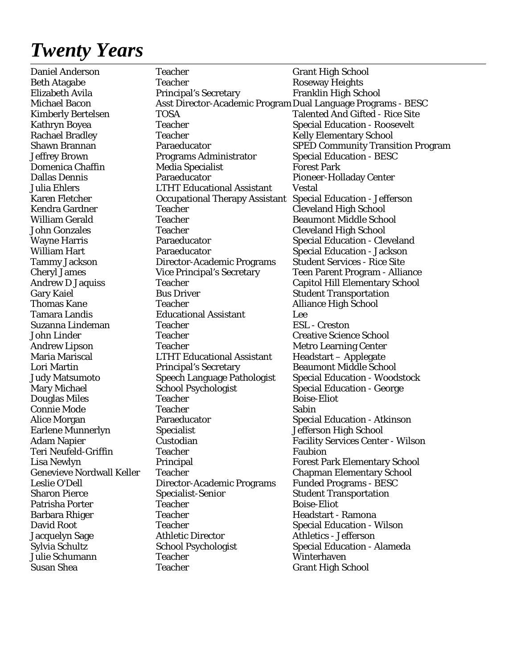### *Twenty Years*

Daniel Anderson Teacher Teacher Grant High School Beth Atagabe Teacher Teacher Roseway Heights Elizabeth Avila Principal's Secretary Franklin High School Michael Bacon Asst Director-Academic Program Dual Language Programs - BESC Kimberly Bertelsen TOSA Talented And Gifted - Rice Site Kathryn Boyea Teacher Teacher Special Education - Roosevelt Rachael Bradley Teacher Teacher Kelly Elementary School Shawn Brannan Paraeducator SPED Community Transition Program Jeffrey Brown Programs Administrator Special Education - BESC Domenica Chaffin Media Specialist Forest Park Dallas Dennis Paraeducator Pioneer-Holladay Center Julia Ehlers LTHT Educational Assistant Vestal Karen Fletcher Occupational Therapy Assistant Special Education - Jefferson Kendra Gardner Teacher Cleveland High School William Gerald Teacher Teacher Beaumont Middle School John Gonzales Teacher Cleveland High School Wayne Harris **Paraeducator** Paraeducator Special Education - Cleveland William Hart **Paraeducator** Special Education - Jackson Tammy Jackson Director-Academic Programs Student Services - Rice Site Cheryl James Vice Principal's Secretary Teen Parent Program - Alliance Andrew D Jaquiss Teacher Teacher Capitol Hill Elementary School Gary Kaiel **Bus Driver** Bus Driver Student Transportation Thomas Kane Teacher Teacher Alliance High School Tamara Landis Educational Assistant Lee Suzanna Lindeman Teacher ESL - Creston John Linder Teacher Creative Science School Andrew Lipson Teacher Teacher Metro Learning Center Maria Mariscal LTHT Educational Assistant Headstart – Applegate Lori Martin Principal's Secretary Beaumont Middle School Judy Matsumoto Speech Language Pathologist Special Education - Woodstock Mary Michael School Psychologist Special Education - George Douglas Miles Teacher Teacher Boise-Eliot Connie Mode Teacher Teacher Sabin Alice Morgan Paraeducator Special Education - Atkinson Earlene Munnerlyn Specialist Jefferson High School Adam Napier **Custodian** Custodian Facility Services Center - Wilson Teri Neufeld-Griffin Teacher Faubion Lisa Newlyn Principal Forest Park Elementary School Genevieve Nordwall Keller Teacher Chapman Elementary School Leslie O'Dell Director-Academic Programs Funded Programs - BESC Sharon Pierce Specialist-Senior Student Transportation Patrisha Porter Teacher Teacher Boise-Eliot Barbara Rhiger Teacher Teacher Headstart - Ramona David Root **Teacher** Special Education - Wilson Jacquelyn Sage Athletic Director Athletics - Jefferson Sylvia Schultz School Psychologist Special Education - Alameda Julie Schumann Teacher Winterhaven Susan Shea Teacher Teacher Grant High School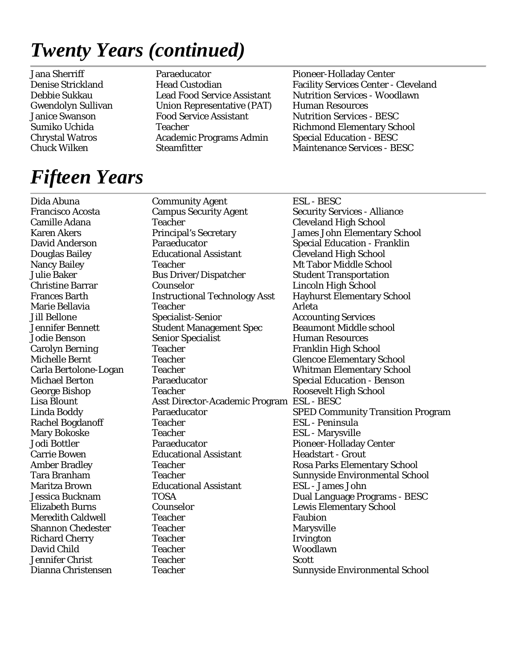### *Twenty Years (continued)*

Jana Sherriff Paraeducator Pioneer-Holladay Center Gwendolyn Sullivan Union Representative (PAT) Human Resources Janice Swanson Food Service Assistant Nutrition Services - BESC Chrystal Watros Academic Programs Admin Special Education - BESC

Denise Strickland Head Custodian Facility Services Center - Cleveland Debbie Sukkau Lead Food Service Assistant Nutrition Services - Woodlawn Sumiko Uchida Teacher **Teacher** Richmond Elementary School Chuck Wilken Steamfitter Maintenance Services - BESC

# *Fifteen Years*

Dida Abuna Community Agent ESL - BESC Francisco Acosta Campus Security Agent Security Services - Alliance Camille Adana Teacher Cleveland High School Karen Akers Principal's Secretary James John Elementary School David Anderson Paraeducator Special Education - Franklin Douglas Bailey Educational Assistant Cleveland High School Teacher Mt Tabor Middle School Julie Baker Bus Driver/Dispatcher Student Transportation Christine Barrar Counselor Lincoln High School Frances Barth Instructional Technology Asst Hayhurst Elementary School Marie Bellavia Teacher Teacher Arleta Jill Bellone Specialist-Senior Accounting Services Jennifer Bennett Student Management Spec Beaumont Middle school Jodie Benson Senior Specialist Human Resources Carolyn Berning Teacher Franklin High School Michelle Bernt Teacher Teacher Glencoe Elementary School Carla Bertolone-Logan Teacher Whitman Elementary School Michael Berton **Paraeducator** Paraeducator Special Education - Benson George Bishop Teacher Teacher Roosevelt High School Lisa Blount Asst Director-Academic Program ESL - BESC Rachel Bogdanoff Teacher ESL - Peninsula Mary Bokoske Teacher ESL - Marysville Jodi Bottler Paraeducator Pioneer-Holladay Center Carrie Bowen **Educational Assistant** Headstart - Grout Amber Bradley Teacher Teacher Rosa Parks Elementary School Maritza Brown Educational Assistant ESL - James John Jessica Bucknam TOSA Dual Language Programs - BESC Elizabeth Burns Counselor Lewis Elementary School Meredith Caldwell **Teacher** Faubion Shannon Chedester Teacher Teacher Marysville Richard Cherry Teacher Irvington David Child Teacher Woodlawn Jennifer Christ Teacher Scott

Linda Boddy Paraeducator SPED Community Transition Program Tara Branham Teacher Teacher Sunnyside Environmental School Dianna Christensen Teacher Teacher Sunnyside Environmental School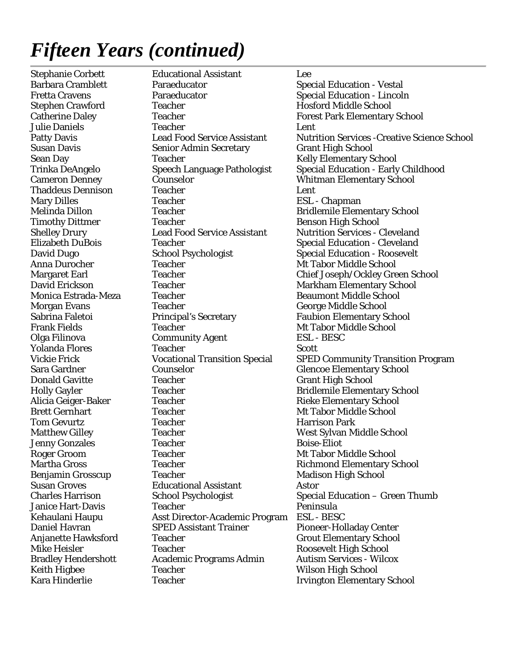Kara Hinderlie Teacher Irvington Elementary School

Stephanie Corbett Educational Assistant Lee Barbara Cramblett Paraeducator Special Education - Vestal Fretta Cravens Paraeducator Special Education - Lincoln Stephen Crawford Teacher Teacher Hosford Middle School Catherine Daley **Teacher Teacher** Forest Park Elementary School Julie Daniels Teacher Lent Susan Davis Senior Admin Secretary Grant High School Sean Day **Teacher** Teacher Kelly Elementary School Cameron Denney Counselor Whitman Elementary School Thaddeus Dennison Teacher Lent Mary Dilles Teacher ESL - Chapman Melinda Dillon Teacher Teacher Bridlemile Elementary School Timothy Dittmer Teacher Teacher Benson High School Shelley Drury **Lead Food Service Assistant** Nutrition Services - Cleveland Elizabeth DuBois Teacher Special Education - Cleveland David Dugo School Psychologist Special Education - Roosevelt Anna Durocher Teacher Teacher Middle School Margaret Earl Teacher Teacher Chief Joseph/Ockley Green School David Erickson Teacher Markham Elementary School Teacher **Extracate Estragale** Beaumont Middle School Morgan Evans Teacher Teacher George Middle School Sabrina Faletoi **Principal's Secretary Faubion Elementary School** Frank Fields Teacher Teacher Mt Tabor Middle School Olga Filinova Community Agent ESL - BESC **Yolanda Flores** Teacher **Teacher** Scott Sara Gardner Counselor Counselor Glencoe Elementary School **Donald Gavitte Teacher Teacher Grant High School** Holly Gayler Teacher Teacher Bridlemile Elementary School Alicia Geiger-Baker Teacher Teacher Rieke Elementary School Brett Gernhart Teacher Teacher Mt Tabor Middle School **Tom Gevurtz Teacher Teacher Harrison Park** Matthew Gilley Teacher Teacher West Sylvan Middle School Jenny Gonzales Teacher Boise-Eliot Roger Groom Teacher Teacher Mt Tabor Middle School Martha Gross Teacher Teacher Richmond Elementary School Benjamin Grosscup Teacher Teacher Madison High School Susan Groves Educational Assistant Astor Charles Harrison School Psychologist Special Education – Green Thumb Janice Hart-Davis Teacher **Peninsula** Kehaulani Haupu Asst Director-Academic Program ESL - BESC Daniel Havran SPED Assistant Trainer Pioneer-Holladay Center Anjanette Hawksford Teacher Teacher Grout Elementary School Mike Heisler Teacher Roosevelt High School Bradley Hendershott Academic Programs Admin Autism Services - Wilcox Keith Higbee Teacher Wilson High School

Patty Davis **Lead Food Service Assistant** Nutrition Services -Creative Science School Trinka DeAngelo Speech Language Pathologist Special Education - Early Childhood Vickie Frick Vocational Transition Special SPED Community Transition Program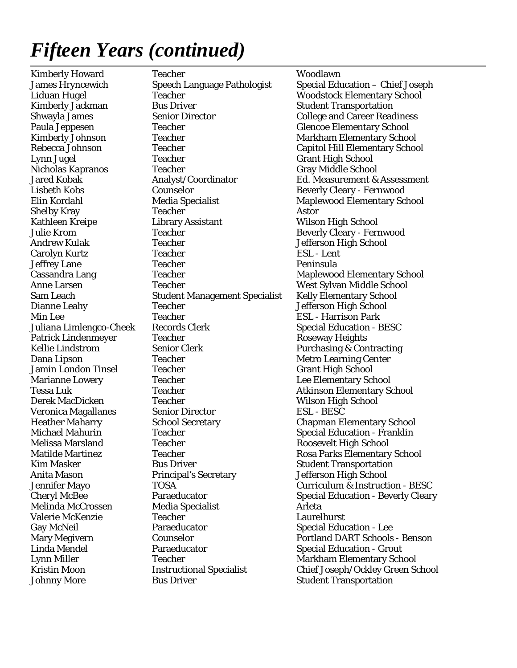Kimberly Howard Teacher Teacher Woodlawn **Teacher Woodstock Elementary School** Kimberly Jackman Bus Driver Student Transportation Shwayla James Senior Director College and Career Readiness Paula Jeppesen Teacher Teacher Glencoe Elementary School Kimberly Johnson Teacher Teacher Markham Elementary School Rebecca Johnson Teacher Capitol Hill Elementary School Lynn Jugel Teacher Grant High School Nicholas Kapranos Teacher Gray Gray Middle School Lisbeth Kobs Counselor Beverly Cleary - Fernwood Elin Kordahl Media Specialist Maplewood Elementary School Shelby Kray Teacher Astor Kathleen Kreipe Library Assistant Wilson High School Julie Krom Teacher Teacher Beverly Cleary - Fernwood Andrew Kulak Teacher Teacher Jefferson High School Carolyn Kurtz Teacher ESL - Lent Jeffrey Lane Teacher Peninsula Cassandra Lang Teacher Maplewood Elementary School Anne Larsen Teacher Teacher West Sylvan Middle School Sam Leach Student Management Specialist Kelly Elementary School Dianne Leahy Teacher Teacher Jefferson High School Min Lee Teacher Teacher ESL - Harrison Park Juliana Limlengco-Cheek Records Clerk Special Education - BESC Patrick Lindenmeyer Teacher Teacher Roseway Heights Kellie Lindstrom Senior Clerk Purchasing & Contracting **Dana Lipson Teacher Teacher Metro Learning Center** Jamin London Tinsel Teacher Grant High School Marianne Lowery Teacher Teacher Lee Elementary School Tessa Luk Teacher Teacher Atkinson Elementary School Derek MacDicken Teacher Wilson High School Veronica Magallanes Senior Director ESL - BESC Heather Maharry School Secretary Chapman Elementary School Michael Mahurin Teacher Special Education - Franklin Melissa Marsland Teacher Roosevelt High School Matilde Martinez **Teacher** Teacher Rosa Parks Elementary School Kim Masker **Bus Driver** Student Transportation Anita Mason **Principal's Secretary** Jefferson High School Melinda McCrossen Media Specialist Arleta Valerie McKenzie Teacher Laurelhurst Gay McNeil **Paraeducator** Paraeducator Special Education - Lee Linda Mendel Paraeducator Special Education - Grout Lynn Miller Teacher Teacher Markham Elementary School

James Hryncewich Speech Language Pathologist Special Education – Chief Joseph Jared Kobak Analyst/Coordinator Ed. Measurement & Assessment Jennifer Mayo TOSA Curriculum & Instruction - BESC Cheryl McBee **Paraeducator** Paraeducator Special Education - Beverly Cleary Mary Megivern Counselor Counselor Portland DART Schools - Benson Kristin Moon **Instructional Specialist** Chief Joseph/Ockley Green School Johnny More Bus Driver Bus Driver Student Transportation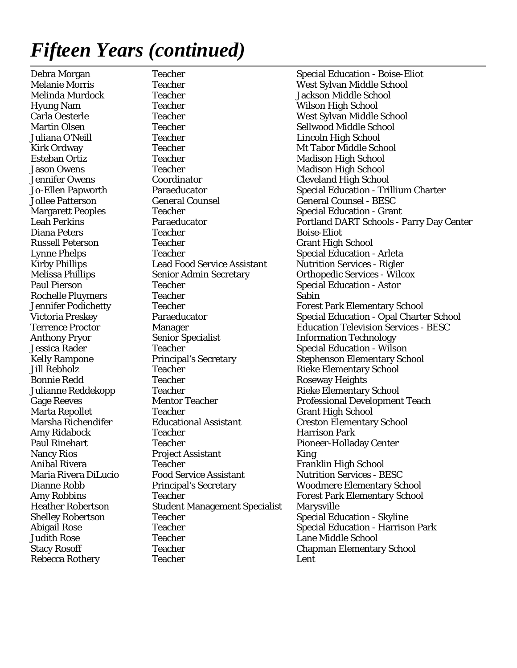Teacher West Sylvan Middle School Melinda Murdock Teacher Jackson Middle School Hyung Nam Teacher Wilson High School Carla Oesterle Teacher West Sylvan Middle School Martin Olsen Teacher Sellwood Middle School Juliana O'Neill Teacher Lincoln High School Kirk Ordway **Teacher** Teacher Mt Tabor Middle School Esteban Ortiz **Teacher** Teacher Madison High School Jason Owens Teacher Teacher Madison High School Jennifer Owens Coordinator Coordinator Cleveland High School Jollee Patterson General Counsel General Counsel - BESC Margarett Peoples Teacher Special Education - Grant **Diana Peters Teacher Teacher Boise-Eliot** Russell Peterson Teacher Grant High School Lynne Phelps Teacher Special Education - Arleta Kirby Phillips Lead Food Service Assistant Nutrition Services - Rigler Melissa Phillips Senior Admin Secretary Orthopedic Services - Wilcox Paul Pierson Teacher Teacher Special Education - Astor Rochelle Pluymers Teacher Sabin Anthony Pryor Senior Specialist Senior Specialist Information Technology Jessica Rader Teacher Special Education - Wilson Jill Rebholz **Teacher** Teacher **Rieke Elementary School** Bonnie Redd **Teacher** Teacher Roseway Heights Julianne Reddekopp Teacher **Rieke Elementary School** Marta Repollet Teacher Grant High School Marsha Richendifer Educational Assistant Creston Elementary School Amy Ridabock Teacher Harrison Park Paul Rinehart Teacher Teacher Pioneer-Holladay Center Nancy Rios Project Assistant King Anibal Rivera **Teacher** Franklin High School Maria Rivera DiLucio Food Service Assistant Nutrition Services - BESC Heather Robertson Student Management Specialist Marysville Shelley Robertson Teacher Teacher Special Education - Skyline Judith Rose Teacher Lane Middle School Stacy Rosoff Teacher Teacher Chapman Elementary School Rebecca Rothery Teacher Teacher Lent

Debra Morgan Teacher Special Education - Boise-Eliot Jo-Ellen Papworth Paraeducator Special Education - Trillium Charter Leah Perkins Paraeducator Portland DART Schools - Parry Day Center Jennifer Podichetty Teacher Forest Park Elementary School Victoria Preskey **Paraeducator** Special Education - Opal Charter School Terrence Proctor Manager Education Television Services - BESC Kelly Rampone Principal's Secretary Stephenson Elementary School Gage Reeves Mentor Teacher Professional Development Teach Dianne Robb Principal's Secretary Woodmere Elementary School Amy Robbins Teacher Forest Park Elementary School Abigail Rose Teacher Teacher Special Education - Harrison Park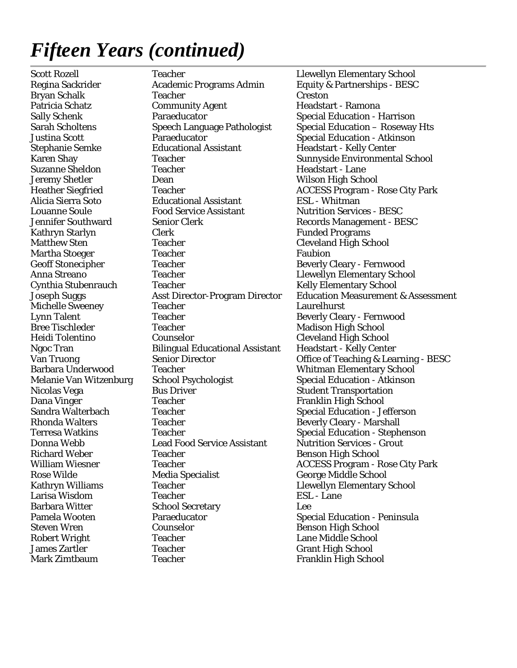Mark Zimtbaum Teacher Franklin High School

Scott Rozell Teacher Teacher Llewellyn Elementary School Regina Sackrider **Academic Programs Admin** Equity & Partnerships - BESC Bryan Schalk Teacher Creston Creston Patricia Schatz **Community Agent** Headstart - Ramona Sally Schenk Paraeducator Special Education - Harrison Justina Scott Paraeducator Paraeducator Special Education - Atkinson<br>Stephanie Semke Educational Assistant Headstart - Kelly Center Stephanie Semke Feducational Assistant Headstart - Kelly Center Suzanne Sheldon Teacher Teacher Headstart - Lane Jeremy Shetler Dean Wilson High School Alicia Sierra Soto Educational Assistant ESL - Whitman Louanne Soule Food Service Assistant Nutrition Services - BESC Jennifer Southward Senior Clerk Records Management - BESC Kathryn Starlyn Clerk Clerk Funded Programs Matthew Sten Teacher Teacher Cleveland High School Martha Stoeger **Faubion** Facher **Faubion** Faubion Geoff Stonecipher Teacher Teacher Beverly Cleary - Fernwood Anna Streano Teacher Llewellyn Elementary School Cynthia Stubenrauch Teacher Teacher Kelly Elementary School Michelle Sweeney Teacher Teacher Laurelhurst Lynn Talent Teacher Beverly Cleary - Fernwood Bree Tischleder Teacher Teacher Madison High School Heidi Tolentino Counselor Cleveland High School Ngoc Tran Bilingual Educational Assistant Headstart - Kelly Center Barbara Underwood Teacher Whitman Elementary School Melanie Van Witzenburg School Psychologist Special Education - Atkinson Nicolas Vega Bus Driver Bus Driver Student Transportation Dana Vinger Teacher Franklin High School Charles Franklin High School Sandra Walterbach Teacher Teacher Special Education - Jefferson Rhonda Walters Teacher Teacher Beverly Cleary - Marshall Donna Webb Lead Food Service Assistant Nutrition Services - Grout Richard Weber Teacher Teacher Benson High School Rose Wilde **Media Specialist** George Middle School Kathryn Williams Teacher Teacher Llewellyn Elementary School Larisa Wisdom Teacher ESL - Lane Barbara Witter School Secretary Lee Pamela Wooten **Paraeducator** Paraeducator Special Education - Peninsula Steven Wren Counselor Benson High School Robert Wright Teacher Teacher Lane Middle School James Zartler Teacher Grant High School

Sarah Scholtens Speech Language Pathologist Special Education – Roseway Hts Karen Shay Teacher Sunnyside Environmental School Heather Siegfried Teacher Teacher ACCESS Program - Rose City Park Joseph Suggs Asst Director-Program Director Education Measurement & Assessment Van Truong Senior Director Office of Teaching & Learning - BESC Terresa Watkins Teacher Special Education - Stephenson William Wiesner Teacher Teacher ACCESS Program - Rose City Park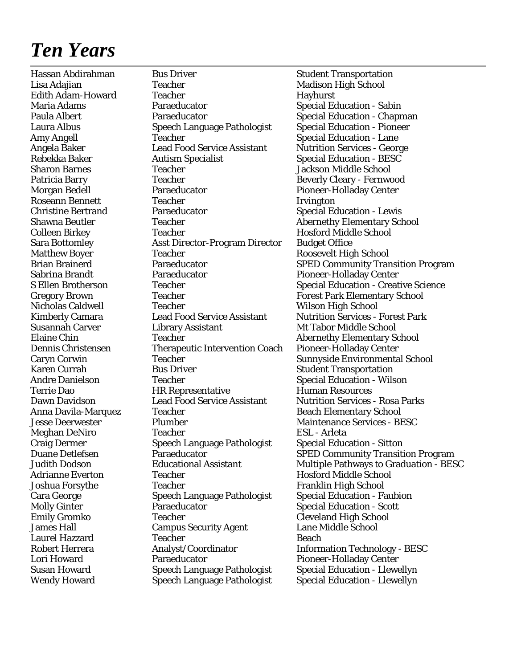### *Ten Years*

Lisa Adajian Teacher Teacher Madison High School Edith Adam-Howard Teacher The Teacher Hayhurst Maria Adams **Paraeducator** Special Education - Sabin Paula Albert **Paraeducator** Paraeducator **Special Education - Chapman** Laura Albus Speech Language Pathologist Special Education - Pioneer Amy Angell Teacher Special Education - Lane Angela Baker Lead Food Service Assistant Nutrition Services - George<br>Rebekka Baker Autism Specialist Special Education - BESC Rebekka Baker **Autism Specialist** Special Education - BESC Sharon Barnes Teacher Jackson Middle School Patricia Barry Teacher Teacher Beverly Cleary - Fernwood Morgan Bedell Paraeducator Pioneer-Holladay Center Roseann Bennett Teacher Irvington Paraeducator Special Education - Lewis Shawna Beutler **Teacher** Teacher Abernethy Elementary School Colleen Birkey Teacher Teacher Hosford Middle School Sara Bottomley Asst Director-Program Director Budget Office Matthew Boyer Teacher Teacher Roosevelt High School Sabrina Brandt Paraeducator Pioneer-Holladay Center Gregory Brown Teacher Forest Park Elementary School Nicholas Caldwell Teacher Teacher Wilson High School Kimberly Camara Lead Food Service Assistant Nutrition Services - Forest Park Susannah Carver Library Assistant Mt Tabor Middle School Elaine Chin Teacher Teacher Abernethy Elementary School Dennis Christensen Therapeutic Intervention Coach Pioneer-Holladay Center Karen Currah Bus Driver Student Transportation Andre Danielson Teacher Special Education - Wilson Terrie Dao HR Representative Human Resources Dawn Davidson Lead Food Service Assistant Nutrition Services - Rosa Parks Anna Davila-Marquez Teacher **Beach Elementary School** Jesse Deerwester Plumber Maintenance Services - BESC Meghan DeNiro Teacher ESL - Arleta Craig Dermer Speech Language Pathologist Special Education - Sitton<br>
Duane Detlefsen Paraeducator SPED Community Transiti Adrianne Everton Teacher Teacher Hosford Middle School Joshua Forsythe Teacher Franklin High School Cara George Speech Language Pathologist Special Education - Faubion Molly Ginter Paraeducator Paraeducator Special Education - Scott Emily Gromko Teacher Cleveland High School James Hall Campus Security Agent Lane Middle School Laurel Hazzard Teacher Teacher Beach Robert Herrera Analyst/Coordinator Information Technology - BESC Lori Howard Paraeducator Pioneer-Holladay Center

Hassan Abdirahman Bus Driver Student Transportation Brian Brainerd Paraeducator SPED Community Transition Program S Ellen Brotherson Teacher Teacher Special Education - Creative Science Caryn Corwin Teacher Sunnyside Environmental School Paraeducator SPED Community Transition Program Judith Dodson Educational Assistant Multiple Pathways to Graduation - BESC Susan Howard Speech Language Pathologist Special Education - Llewellyn Wendy Howard Speech Language Pathologist Special Education - Llewellyn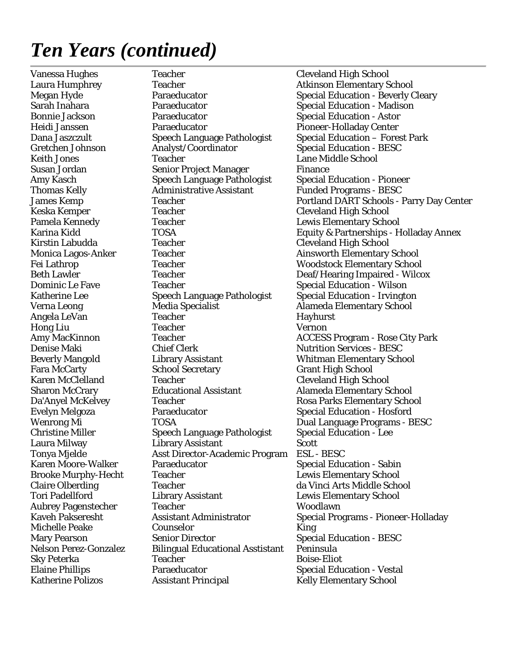### *Ten Years (continued)*

Vanessa Hughes Teacher Teacher Cleveland High School Laura Humphrey Teacher Teacher Atkinson Elementary School Sarah Inahara Paraeducator Special Education - Madison Bonnie Jackson **Paraeducator** Paraeducator Special Education - Astor Heidi Janssen Paraeducator Pioneer-Holladay Center Dana Jaszczult Speech Language Pathologist Special Education – Forest Park Gretchen Johnson Analyst/Coordinator Special Education - BESC Keith Jones Teacher Lane Middle School Susan Jordan Senior Project Manager Finance Amy Kasch Speech Language Pathologist Special Education - Pioneer Thomas Kelly Administrative Assistant Funded Programs - BESC Keska Kemper Teacher Cleveland High School Pamela Kennedy **Teacher** Teacher **Lewis Elementary School** Kirstin Labudda Teacher Cleveland High School Monica Lagos-Anker Teacher Teacher Ainsworth Elementary School Fei Lathrop Teacher Teacher Woodstock Elementary School Beth Lawler Teacher Teacher Deaf/Hearing Impaired - Wilcox Dominic Le Fave Teacher Teacher Special Education - Wilson Katherine Lee Speech Language Pathologist Special Education - Irvington Verna Leong Media Specialist Alameda Elementary School Angela LeVan Teacher Teacher Hayhurst Hong Liu Teacher Vernon Denise Maki Chief Clerk Nutrition Services - BESC Beverly Mangold Library Assistant Whitman Elementary School Fara McCarty **School Secretary Grant High School** Karen McClelland Teacher Cleveland High School Sharon McCrary Educational Assistant Alameda Elementary School Teacher Rosa Parks Elementary School Evelyn Melgoza Paraeducator Special Education - Hosford Wenrong Mi TOSA TOSA Dual Language Programs - BESC Christine Miller Speech Language Pathologist Special Education - Lee Laura Milway Library Assistant Scott Tonya Mjelde Asst Director-Academic Program ESL - BESC Karen Moore-Walker Paraeducator Special Education - Sabin Brooke Murphy-Hecht Teacher Teacher Lewis Elementary School Claire Olberding Teacher da Vinci Arts Middle School Tori Padellford Library Assistant Lewis Elementary School Aubrey Pagenstecher Teacher Woodlawn Michelle Peake Counselor King Mary Pearson Senior Director Special Education - BESC Nelson Perez-Gonzalez Bilingual Educational Asstistant Peninsula Sky Peterka Teacher Teacher Boise-Eliot Elaine Phillips Paraeducator Special Education - Vestal Assistant Principal Kelly Elementary School

Megan Hyde **Paraeducator** Paraeducator Special Education - Beverly Cleary James Kemp Teacher Teacher Portland DART Schools - Parry Day Center Karina Kidd TOSA TOSA Equity & Partnerships - Holladay Annex Amy MacKinnon Teacher Teacher ACCESS Program - Rose City Park Kaveh Pakseresht Assistant Administrator Special Programs - Pioneer-Holladay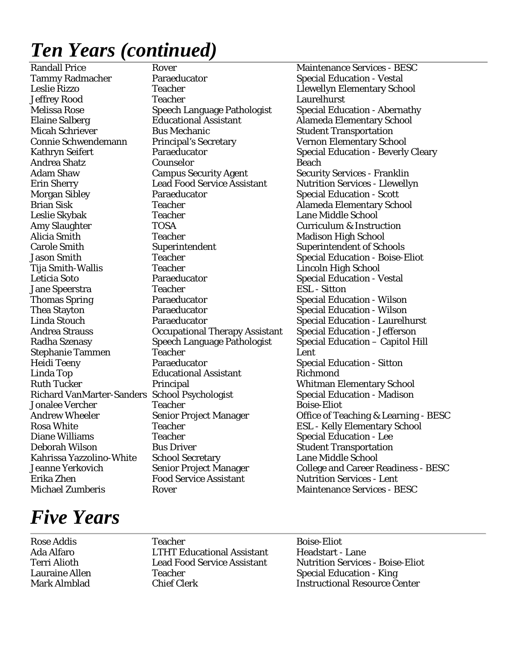# *Ten Years (continued)*

Tammy Radmacher Paraeducator Special Education - Vestal Leslie Rizzo Teacher Llewellyn Elementary School Jeffrey Rood Teacher Laurelhurst Melissa Rose Speech Language Pathologist Special Education - Abernathy Elaine Salberg Educational Assistant Alameda Elementary School<br>Micah Schriever Bus Mechanic Student Transportation Bus Mechanic Student Transportation Connie Schwendemann Principal's Secretary Vernon Elementary School Andrea Shatz Counselor Beach Erin Sherry Lead Food Service Assistant Nutrition Services - Llewellyn Morgan Sibley **Paraeducator** Special Education - Scott Brian Sisk Teacher Teacher Alameda Elementary School Leslie Skybak Teacher Lane Middle School Amy Slaughter TOSA Curriculum & Instruction Alicia Smith Teacher Teacher Madison High School Carole Smith Superintendent Superintendent of Schools Jason Smith Teacher Teacher Special Education - Boise-Eliot Tija Smith-Wallis Teacher Teacher Lincoln High School Leticia Soto **Paraeducator** Paraeducator Special Education - Vestal Jane Speerstra Teacher ESL - Sitton Thomas Spring **Paraeducator** Paraeducator Special Education - Wilson Thea Stayton **Paraeducator** Paraeducator Special Education - Wilson Linda Stouch Paraeducator Special Education - Laurelhurst Andrea Strauss Occupational Therapy Assistant Special Education - Jefferson Stephanie Tammen Teacher Lent Heidi Teeny Paraeducator Special Education - Sitton Linda Top Educational Assistant Richmond Ruth Tucker **Principal** Principal Whitman Elementary School Richard VanMarter-Sanders School Psychologist Special Education - Madison Jonalee Vercher Teacher Boise-Eliot Rosa White Teacher Teacher ESL - Kelly Elementary School Diane Williams Teacher Special Education - Lee Deborah Wilson Bus Driver Student Transportation Kahrissa Yazzolino-White School Secretary Lane Middle School Erika Zhen Food Service Assistant Nutrition Services - Lent

Randall Price **Rover** Rover **Rover** Maintenance Services - BESC Kathryn Seifert Paraeducator **Paraeducator** Special Education - Beverly Cleary **Security Services - Franklin** Radha Szenasy Speech Language Pathologist Special Education – Capitol Hill Andrew Wheeler Senior Project Manager Office of Teaching & Learning - BESC Jeanne Yerkovich Senior Project Manager College and Career Readiness - BESC Michael Zumberis Rover Rover Rover Maintenance Services - BESC

### *Five Years*

Rose Addis **Rose Addis** Teacher **Boise-Eliot** Boise-Eliot Ada Alfaro LTHT Educational Assistant Headstart - Lane Lauraine Allen Teacher Special Education - King

Terri Alioth Lead Food Service Assistant Nutrition Services - Boise-Eliot Mark Almblad Chief Clerk Instructional Resource Center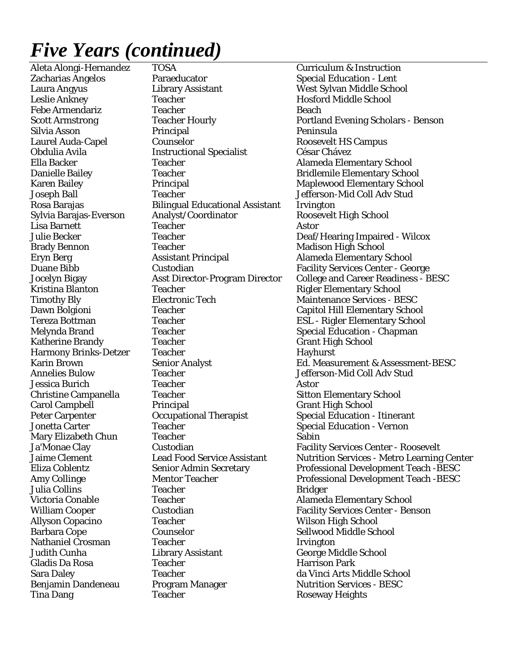Tina Dang Teacher Teacher Roseway Heights

Aleta Alongi-Hernandez TOSA Curriculum & Instruction Zacharias Angelos **Paraeducator** Special Education - Lent Laura Angyus Library Assistant West Sylvan Middle School Leslie Ankney Teacher Teacher Hosford Middle School Febe Armendariz Teacher Beach Silvia Asson Principal Peninsula Laurel Auda-Capel Counselor Roosevelt HS Campus Obdulia Avila Instructional Specialist César Chávez Ella Backer Teacher Teacher Alameda Elementary School Danielle Bailey Teacher Teacher Bridlemile Elementary School Joseph Ball Teacher Jefferson-Mid Coll Adv Stud Rosa Barajas Bilingual Educational Assistant Irvington Sylvia Barajas-Everson Analyst/Coordinator Roosevelt High School Lisa Barnett Teacher Teacher Astor Brady Bennon Teacher Teacher Madison High School Eryn Berg Assistant Principal Alameda Elementary School Kristina Blanton Teacher Teacher Rigler Elementary School Timothy Bly Electronic Tech Maintenance Services - BESC Melynda Brand Teacher Teacher Special Education - Chapman Katherine Brandy **Teacher** Teacher Grant High School Harmony Brinks-Detzer Teacher Hayhurst Annelies Bulow Teacher The Teacher Service Services Bulow Jefferson-Mid Coll Adv Stud Jessica Burich Teacher Teacher Astor Christine Campanella Teacher Sitton Elementary School Carol Campbell Principal Grant High School Peter Carpenter **Carpenter** Occupational Therapist Special Education - Itinerant Jonetta Carter Teacher Teacher Special Education - Vernon Mary Elizabeth Chun Teacher Sabin Julia Collins **Teacher** Teacher **Bridger** Victoria Conable **Teacher** Teacher Alameda Elementary School Allyson Copacino Teacher Teacher Wilson High School Barbara Cope Counselor Counselor Sellwood Middle School Nathaniel Crosman Teacher Irvington Judith Cunha Library Assistant George Middle School Gladis Da Rosa **Teacher** Teacher **Harrison Park** Sara Daley **Teacher** Teacher da Vinci Arts Middle School Benjamin Dandeneau Program Manager Nutrition Services - BESC

Scott Armstrong Teacher Hourly Portland Evening Scholars - Benson Karen Bailey **Principal Maplewood Elementary School** Julie Becker Teacher Deaf/Hearing Impaired - Wilcox Duane Bibb **Custodian** Custodian Facility Services Center - George Jocelyn Bigay Asst Director-Program Director College and Career Readiness - BESC Dawn Bolgioni Teacher Capitol Hill Elementary School Tereza Bottman Teacher Teacher ESL - Rigler Elementary School Karin Brown Senior Analyst Ed. Measurement & Assessment-BESC Custodian Facility Services Center - Roosevelt Jaime Clement Lead Food Service Assistant Nutrition Services - Metro Learning Center Eliza Coblentz Senior Admin Secretary Professional Development Teach -BESC Amy Collinge Mentor Teacher Professional Development Teach -BESC William Cooper Custodian Custodian Facility Services Center - Benson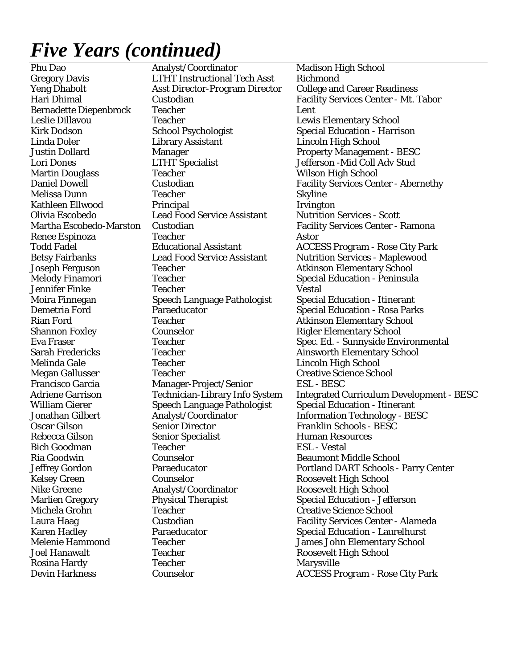Phu Dao **Analyst/Coordinator** Madison High School Gregory Davis LTHT Instructional Tech Asst Richmond Yeng Dhabolt Asst Director-Program Director College and Career Readiness Bernadette Diepenbrock Teacher Lent Leslie Dillavou Teacher Teacher Lewis Elementary School Kirk Dodson School Psychologist Special Education - Harrison Linda Doler Library Assistant Lincoln High School Justin Dollard Manager Management - BESC Lori Dones LTHT Specialist Jefferson -Mid Coll Adv Stud Martin Douglass Teacher Wilson High School Melissa Dunn Teacher Skyline Kathleen Ellwood Principal Irvington Olivia Escobedo Lead Food Service Assistant Nutrition Services - Scott Renee Espinoza Teacher Astor Joseph Ferguson Teacher Atkinson Elementary School Melody Finamori **Teacher** Special Education - Peninsula Jennifer Finke Teacher Vestal Moira Finnegan Speech Language Pathologist Special Education - Itinerant Demetria Ford Paraeducator Special Education - Rosa Parks Rian Ford Teacher Teacher Atkinson Elementary School Shannon Foxley **Counselor** Counselor Rigler Elementary School Sarah Fredericks Teacher Teacher Ainsworth Elementary School Melinda Gale Teacher Lincoln High School Megan Gallusser Teacher Creative Science School Manager-Project/Senior William Gierer Speech Language Pathologist Special Education - Itinerant Oscar Gilson Senior Director Franklin Schools - BESC Rebecca Gilson Senior Specialist Human Resources Bich Goodman Teacher ESL - Vestal Ria Goodwin Counselor Counselor Beaumont Middle School Counselor Roosevelt High School Nike Greene Analyst/Coordinator Roosevelt High School Marlien Gregory Physical Therapist Special Education - Jefferson Michela Grohn Teacher Creative Science School Melenie Hammond Teacher Teacher James John Elementary School Joel Hanawalt Teacher Roosevelt High School Rosina Hardy Teacher Teacher Marysville

Hari Dhimal Custodian Facility Services Center - Mt. Tabor Daniel Dowell Custodian Facility Services Center - Abernethy Martha Escobedo-Marston Custodian Facility Services Center - Ramona Todd Fadel Educational Assistant ACCESS Program - Rose City Park Betsy Fairbanks Lead Food Service Assistant Nutrition Services - Maplewood Eva Fraser Teacher Teacher Spec. Ed. - Sunnyside Environmental Adriene Garrison Technician-Library Info System Integrated Curriculum Development - BESC Jonathan Gilbert Analyst/Coordinator Information Technology - BESC Jeffrey Gordon Paraeducator Portland DART Schools - Parry Center Laura Haag Custodian Facility Services Center - Alameda Karen Hadley **Paraeducator** Paraeducator Special Education - Laurelhurst Devin Harkness Counselor ACCESS Program - Rose City Park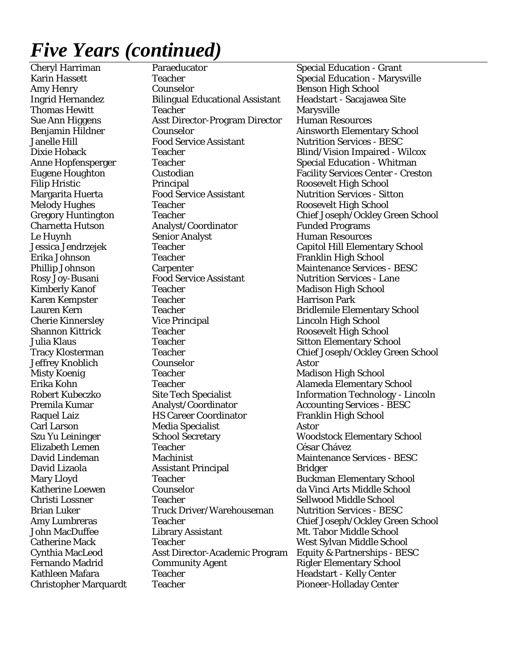Cheryl Harriman Paraeducator Special Education - Grant Karin Hassett Teacher Teacher Special Education - Marysville Amy Henry Counselor Benson High School Ingrid Hernandez Bilingual Educational Assistant Headstart - Sacajawea Site Thomas Hewitt Teacher Teacher Marysville Sue Ann Higgens Asst Director-Program Director Human Resources Benjamin Hildner Counselor Counselor Ainsworth Elementary School Janelle Hill Food Service Assistant Nutrition Services - BESC Dixie Hoback Teacher Teacher Blind/Vision Impaired - Wilcox Anne Hopfensperger Teacher Teacher Special Education - Whitman Eugene Houghton Custodian Facility Services Center - Creston Filip Hristic **Principal Principal Roosevelt High School** Margarita Huerta Food Service Assistant Nutrition Services - Sitton Melody Hughes Teacher Roosevelt High School Gregory Huntington Teacher Teacher Chief Joseph/Ockley Green School Charnetta Hutson Analyst/Coordinator Funded Programs Le Huynh Senior Analyst Human Resources Jessica Jendrzejek Teacher Capitol Hill Elementary School Erika Johnson Teacher Franklin High School Phillip Johnson Carpenter Carpenter Maintenance Services - BESC Rosy Joy-Busani Food Service Assistant Nutrition Services - Lane<br>Kimberly Kanof Teacher Madison High School Teacher Madison High School Karen Kempster Teacher Teacher Harrison Park Lauren Kern Teacher Freacher Bridlemile Elementary School Cherie Kinnersley Vice Principal Lincoln High School Shannon Kittrick Teacher Teacher Roosevelt High School Julia Klaus Teacher Sitton Elementary School School States School Sitton Elementary School Tracy Klosterman Teacher Teacher Chief Joseph/Ockley Green School Jeffrey Knoblich Counselor Astor Misty Koenig Teacher Teacher Madison High School Erika Kohn Teacher Teacher Alameda Elementary School Robert Kubeczko Site Tech Specialist Information Technology - Lincoln Premila Kumar **Analyst/Coordinator** Accounting Services - BESC Raquel Laiz **HS Career Coordinator** Franklin High School Carl Larson Media Specialist Astor Szu Yu Leininger School Secretary Woodstock Elementary School Elizabeth Lemen Teacher César Chávez David Lindeman Machinist Maintenance Services - BESC David Lizaola **Assistant Principal** Bridger Mary Lloyd **Teacher** Teacher **Buckman Elementary School** Katherine Loewen Counselor Counselor da Vinci Arts Middle School Christi Lossner Teacher Sellwood Middle School Brian Luker Truck Driver/Warehouseman Nutrition Services - BESC Amy Lumbreras Teacher Teacher Chief Joseph/Ockley Green School John MacDuffee **Library Assistant** Mt. Tabor Middle School Catherine Mack Teacher Teacher West Sylvan Middle School Cynthia MacLeod Asst Director-Academic Program Equity & Partnerships - BESC Fernando Madrid **Community Agent** Rigler Elementary School Kathleen Mafara Teacher Teacher Headstart - Kelly Center Christopher Marquardt Teacher Teacher Pioneer-Holladay Center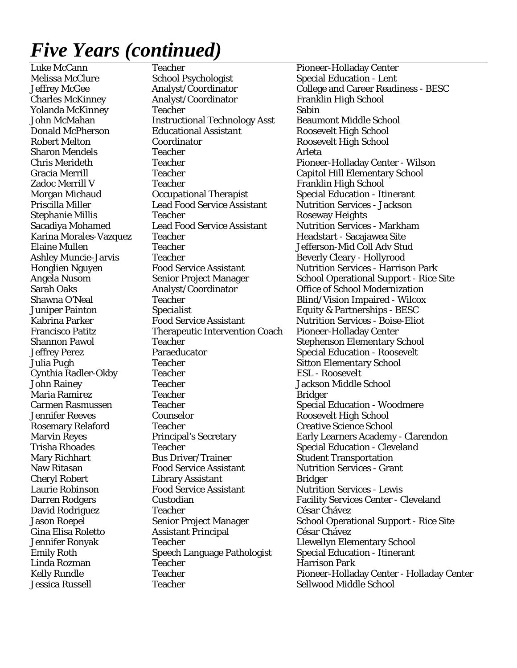Jessica Russell **Sellwood Middle School** Teacher Sellwood Middle School

Luke McCann Teacher Pioneer-Holladay Center Melissa McClure School Psychologist Special Education - Lent Charles McKinney **Analyst/Coordinator** Franklin High School Yolanda McKinney Teacher Sabin John McMahan **Instructional Technology Asst** Beaumont Middle School Donald McPherson Educational Assistant Roosevelt High School Robert Melton Coordinator Roosevelt High School Sharon Mendels Teacher Teacher Arleta Gracia Merrill Teacher Capitol Hill Elementary School Zadoc Merrill V Teacher Franklin High School Morgan Michaud **Occupational Therapist** Special Education - Itinerant Priscilla Miller Lead Food Service Assistant Nutrition Services - Jackson Stephanie Millis Teacher Teacher Roseway Heights Sacadiya Mohamed Lead Food Service Assistant Nutrition Services - Markham Karina Morales-Vazquez Teacher **First and Teacher** Headstart - Sacajawea Site Elaine Mullen Teacher Jefferson-Mid Coll Adv Stud Ashley Muncie-Jarvis Teacher Teacher Beverly Cleary - Hollyrood Analyst/Coordinator Office of School Modernization Shawna O'Neal Teacher Teacher Blind/Vision Impaired - Wilcox Juniper Painton Specialist Specialist Equity & Partnerships - BESC Kabrina Parker Food Service Assistant Nutrition Services - Boise-Eliot Francisco Patitz Therapeutic Intervention Coach Pioneer-Holladay Center Shannon Pawol Teacher Teacher Stephenson Elementary School Jeffrey Perez **Paraeducator** Paraeducator Special Education - Roosevelt Julia Pugh Teacher Sitton Elementary School Cynthia Radler-Okby Teacher ESL - Roosevelt John Rainey Teacher Teacher Jackson Middle School Maria Ramirez Teacher Teacher Bridger Carmen Rasmussen Teacher Special Education - Woodmere Jennifer Reeves Counselor Roosevelt High School Rosemary Relaford Teacher Teacher Creative Science School Trisha Rhoades Teacher Teacher Special Education - Cleveland Mary Richhart **Bus Driver/Trainer** Student Transportation Naw Ritasan Food Service Assistant Nutrition Services - Grant Cheryl Robert Library Assistant Bridger Laurie Robinson Food Service Assistant Nutrition Services - Lewis David Rodriguez Teacher César Chávez Gina Elisa Roletto Assistant Principal César Chávez Jennifer Ronyak Teacher Llewellyn Elementary School Emily Roth Speech Language Pathologist Special Education - Itinerant Linda Rozman Teacher Harrison Park

Jeffrey McGee **Analyst/Coordinator** College and Career Readiness - BESC<br>
Charles McKinney Analyst/Coordinator Franklin High School Chris Merideth Teacher Teacher Pioneer-Holladay Center - Wilson Honglien Nguyen Food Service Assistant Nutrition Services - Harrison Park Angela Nusom Senior Project Manager School Operational Support - Rice Site<br>Sarah Oaks Analyst/Coordinator Office of School Modernization Marvin Reyes Principal's Secretary Early Learners Academy - Clarendon Darren Rodgers Custodian Facility Services Center - Cleveland Jason Roepel Senior Project Manager School Operational Support - Rice Site Kelly Rundle Teacher Pioneer-Holladay Center - Holladay Center - Holladay Center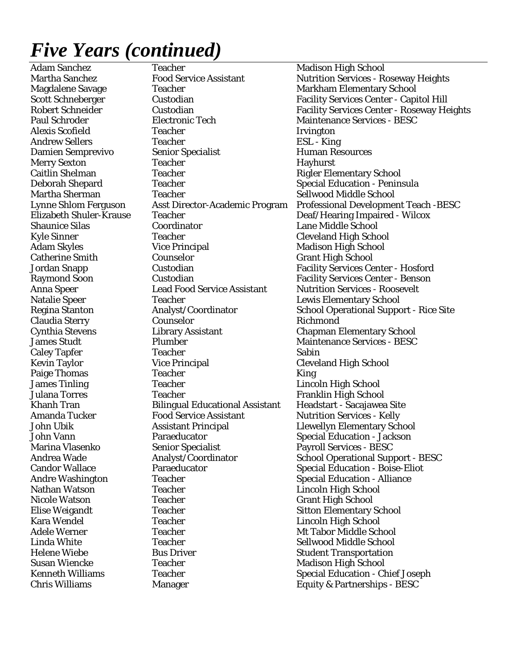Adam Sanchez Teacher Teacher Madison High School Magdalene Savage Teacher Teacher Markham Elementary School Paul Schroder Electronic Tech Maintenance Services - BESC Alexis Scofield **Irvington** Teacher **Irvington** Andrew Sellers Teacher Teacher ESL - King Damien Semprevivo Senior Specialist Human Resources Merry Sexton Teacher Hayhurst Caitlin Shelman Teacher Teacher Rigler Elementary School Deborah Shepard Teacher Special Education - Peninsula Martha Sherman Teacher Sellwood Middle School Shaunice Silas Coordinator Lane Middle School Kyle Sinner Teacher Cleveland High School Adam Skyles **Vice Principal** Madison High School Catherine Smith Counselor Grant High School Anna Speer Lead Food Service Assistant Nutrition Services - Roosevelt Natalie Speer Teacher Lewis Elementary School Claudia Sterry Counselor Richmond Cynthia Stevens Library Assistant Chapman Elementary School James Studt Plumber Maintenance Services - BESC Caley Tapfer Teacher Teacher Sabin Kevin Taylor Vice Principal Cleveland High School Paige Thomas Teacher Teacher King **James Tinling Teacher Teacher Lincoln High School** Julana Torres Teacher Franklin High School Khanh Tran Bilingual Educational Assistant Headstart - Sacajawea Site Amanda Tucker Food Service Assistant Nutrition Services - Kelly John Ubik Assistant Principal Llewellyn Elementary School John Vann Paraeducator Special Education - Jackson Marina Vlasenko Senior Specialist Payroll Services - BESC Candor Wallace **Paraeducator** Paraeducator Special Education - Boise-Eliot Andre Washington Teacher Special Education - Alliance Nathan Watson Teacher Lincoln High School Nicole Watson Teacher Teacher Grant High School Elise Weigandt Teacher Teacher Sitton Elementary School Kara Wendel Teacher Teacher Lincoln High School Adele Werner Teacher Teacher Met Tabor Middle School Linda White Teacher Teacher Sellwood Middle School Helene Wiebe **Bus Driver** Student Transportation Susan Wiencke Teacher Teacher Madison High School

Martha Sanchez Food Service Assistant Nutrition Services - Roseway Heights Scott Schneberger Custodian Facility Services Center - Capitol Hill Robert Schneider Custodian Facility Services Center - Roseway Heights Lynne Shlom Ferguson Asst Director-Academic Program Professional Development Teach -BESC Elizabeth Shuler-Krause Teacher Deaf/Hearing Impaired - Wilcox Jordan Snapp Custodian Facility Services Center - Hosford Raymond Soon Custodian Facility Services Center - Benson Regina Stanton **Analyst/Coordinator** School Operational Support - Rice Site Andrea Wade Analyst/Coordinator School Operational Support - BESC Kenneth Williams Teacher Teacher Special Education - Chief Joseph Chris Williams Manager Equity & Partnerships - BESC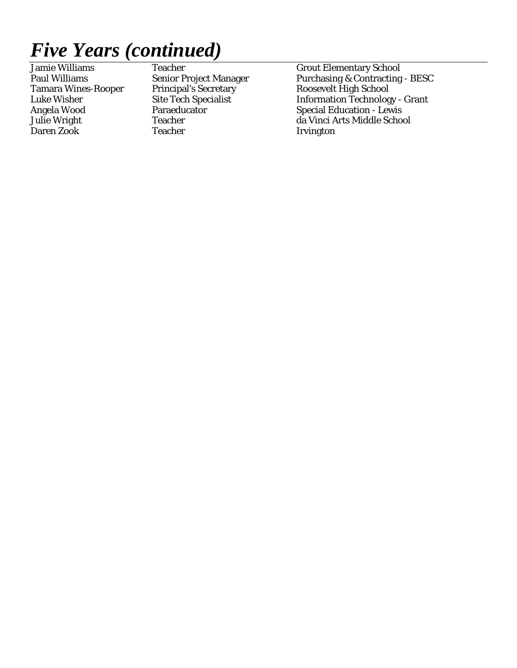Daren Zook Teacher Irvington

Teacher Grout Elementary School

Paul Williams Senior Project Manager Purchasing & Contracting - BESC<br>Tamara Wines-Rooper Principal's Secretary Roosevelt High School Tamara Wines-Rooper Principal's Secretary Roosevelt High School<br>
Luke Wisher Site Tech Specialist Information Technolog Luke Wisher Site Tech Specialist Information Technology - Grant Angela Wood **Paraeducator** Special Education - Lewis Julie Wright Teacher da Vinci Arts Middle School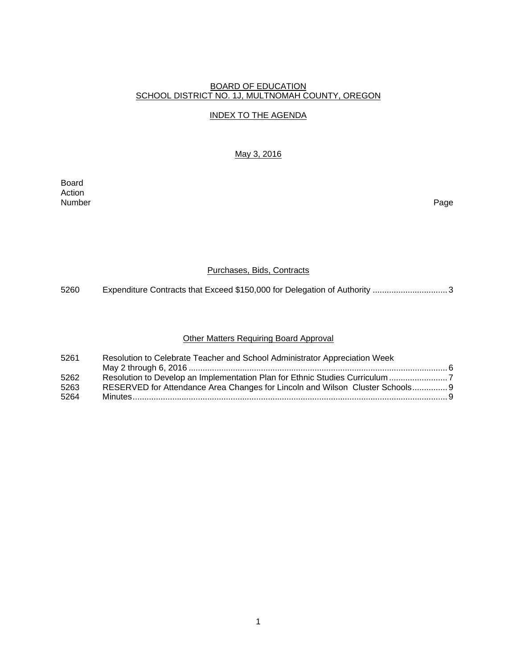#### BOARD OF EDUCATION SCHOOL DISTRICT NO. 1J, MULTNOMAH COUNTY, OREGON

#### INDEX TO THE AGENDA

#### May 3, 2016

Board Action<br>Number Number Page

#### Purchases, Bids, Contracts

5260 Expenditure Contracts that Exceed \$150,000 for Delegation of Authority ..................................

#### Other Matters Requiring Board Approval

| 5261 | Resolution to Celebrate Teacher and School Administrator Appreciation Week    |  |
|------|-------------------------------------------------------------------------------|--|
|      |                                                                               |  |
| 5262 |                                                                               |  |
| 5263 | RESERVED for Attendance Area Changes for Lincoln and Wilson Cluster Schools 9 |  |
| 5264 |                                                                               |  |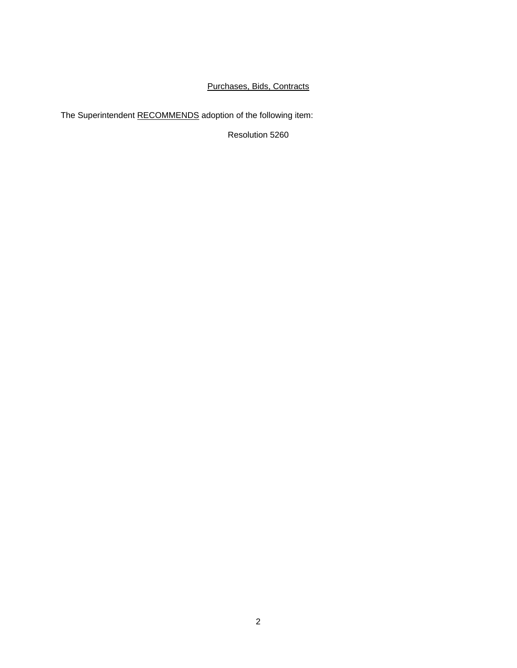### Purchases, Bids, Contracts

The Superintendent RECOMMENDS adoption of the following item:

Resolution 5260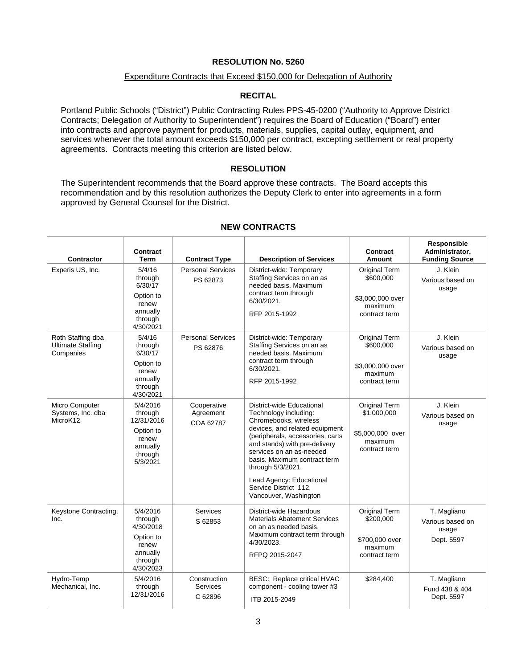#### **RESOLUTION No. 5260**

#### Expenditure Contracts that Exceed \$150,000 for Delegation of Authority

#### **RECITAL**

Portland Public Schools ("District") Public Contracting Rules PPS-45-0200 ("Authority to Approve District Contracts; Delegation of Authority to Superintendent") requires the Board of Education ("Board") enter into contracts and approve payment for products, materials, supplies, capital outlay, equipment, and services whenever the total amount exceeds \$150,000 per contract, excepting settlement or real property agreements. Contracts meeting this criterion are listed below.

#### **RESOLUTION**

The Superintendent recommends that the Board approve these contracts. The Board accepts this recommendation and by this resolution authorizes the Deputy Clerk to enter into agreements in a form approved by General Counsel for the District.

 $\top$ 

| <b>Contractor</b>                                          | Contract<br><b>Term</b>                                                                    | <b>Contract Type</b>                       | <b>Description of Services</b>                                                                                                                                                                                                                                                                                                                    | Contract<br>Amount                                                                | Responsible<br>Administrator,<br><b>Funding Source</b> |
|------------------------------------------------------------|--------------------------------------------------------------------------------------------|--------------------------------------------|---------------------------------------------------------------------------------------------------------------------------------------------------------------------------------------------------------------------------------------------------------------------------------------------------------------------------------------------------|-----------------------------------------------------------------------------------|--------------------------------------------------------|
| Experis US, Inc.                                           | 5/4/16<br>through<br>6/30/17<br>Option to<br>renew<br>annually<br>through<br>4/30/2021     | <b>Personal Services</b><br>PS 62873       | District-wide: Temporary<br>Staffing Services on an as<br>needed basis. Maximum<br>contract term through<br>6/30/2021.<br>RFP 2015-1992                                                                                                                                                                                                           | Original Term<br>\$600,000<br>\$3,000,000 over<br>maximum<br>contract term        | J. Klein<br>Various based on<br>usage                  |
| Roth Staffing dba<br><b>Ultimate Staffing</b><br>Companies | 5/4/16<br>through<br>6/30/17<br>Option to<br>renew<br>annually<br>through<br>4/30/2021     | <b>Personal Services</b><br>PS 62876       | District-wide: Temporary<br>Staffing Services on an as<br>needed basis. Maximum<br>contract term through<br>6/30/2021.<br>RFP 2015-1992                                                                                                                                                                                                           | <b>Original Term</b><br>\$600,000<br>\$3,000,000 over<br>maximum<br>contract term | J. Klein<br>Various based on<br>usage                  |
| Micro Computer<br>Systems, Inc. dba<br>MicroK12            | 5/4/2016<br>through<br>12/31/2016<br>Option to<br>renew<br>annually<br>through<br>5/3/2021 | Cooperative<br>Agreement<br>COA 62787      | District-wide Educational<br>Technology including:<br>Chromebooks, wireless<br>devices, and related equipment<br>(peripherals, accessories, carts<br>and stands) with pre-delivery<br>services on an as-needed<br>basis. Maximum contract term<br>through 5/3/2021.<br>Lead Agency: Educational<br>Service District 112,<br>Vancouver, Washington | Original Term<br>\$1,000,000<br>\$5,000,000 over<br>maximum<br>contract term      | J. Klein<br>Various based on<br>usage                  |
| Keystone Contracting,<br>Inc.                              | 5/4/2016<br>through<br>4/30/2018<br>Option to<br>renew<br>annually<br>through<br>4/30/2023 | Services<br>S 62853                        | District-wide Hazardous<br><b>Materials Abatement Services</b><br>on an as needed basis.<br>Maximum contract term through<br>4/30/2023.<br>RFPQ 2015-2047                                                                                                                                                                                         | Original Term<br>\$200,000<br>\$700,000 over<br>maximum<br>contract term          | T. Magliano<br>Various based on<br>usage<br>Dept. 5597 |
| Hydro-Temp<br>Mechanical, Inc.                             | 5/4/2016<br>through<br>12/31/2016                                                          | Construction<br><b>Services</b><br>C 62896 | BESC: Replace critical HVAC<br>component - cooling tower #3<br>ITB 2015-2049                                                                                                                                                                                                                                                                      | \$284,400                                                                         | T. Magliano<br>Fund 438 & 404<br>Dept. 5597            |

#### **NEW CONTRACTS**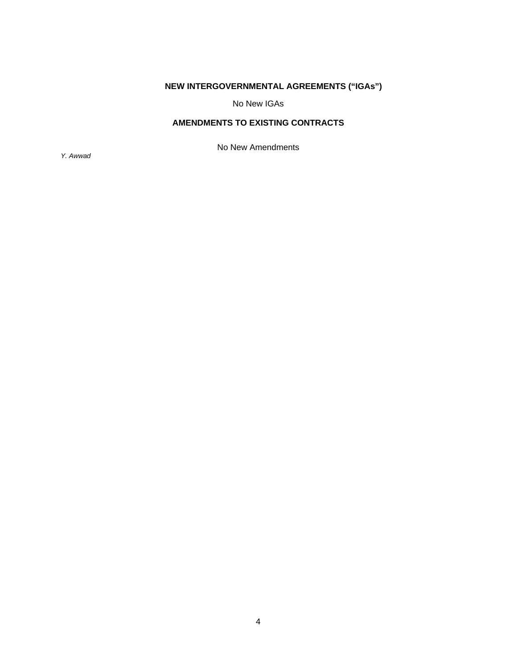### **NEW INTERGOVERNMENTAL AGREEMENTS ("IGAs")**

No New IGAs

### **AMENDMENTS TO EXISTING CONTRACTS**

No New Amendments

*Y. Awwad*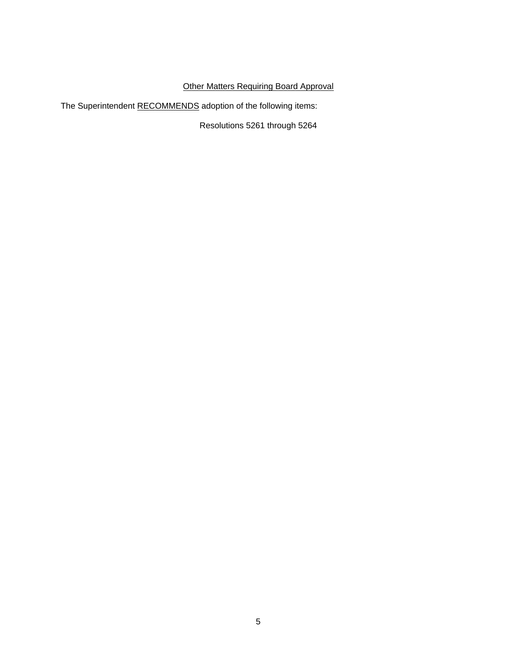### **Other Matters Requiring Board Approval**

The Superintendent RECOMMENDS adoption of the following items:

Resolutions 5261 through 5264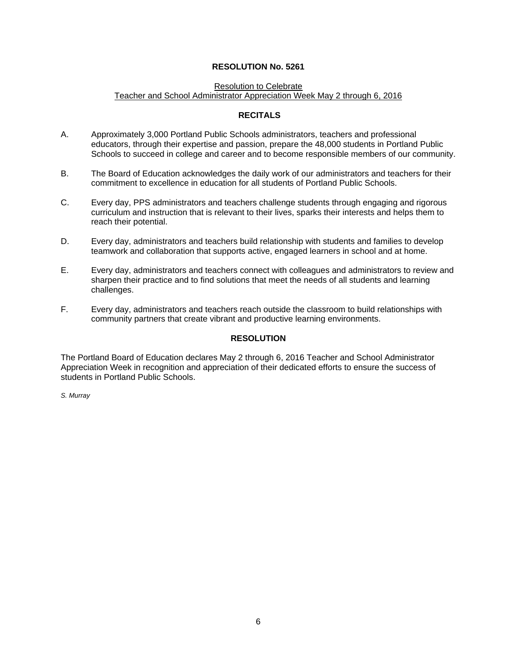#### **RESOLUTION No. 5261**

#### Resolution to Celebrate Teacher and School Administrator Appreciation Week May 2 through 6, 2016

#### **RECITALS**

- A. Approximately 3,000 Portland Public Schools administrators, teachers and professional educators, through their expertise and passion, prepare the 48,000 students in Portland Public Schools to succeed in college and career and to become responsible members of our community.
- B. The Board of Education acknowledges the daily work of our administrators and teachers for their commitment to excellence in education for all students of Portland Public Schools.
- C. Every day, PPS administrators and teachers challenge students through engaging and rigorous curriculum and instruction that is relevant to their lives, sparks their interests and helps them to reach their potential.
- D. Every day, administrators and teachers build relationship with students and families to develop teamwork and collaboration that supports active, engaged learners in school and at home.
- E. Every day, administrators and teachers connect with colleagues and administrators to review and sharpen their practice and to find solutions that meet the needs of all students and learning challenges.
- F. Every day, administrators and teachers reach outside the classroom to build relationships with community partners that create vibrant and productive learning environments.

#### **RESOLUTION**

The Portland Board of Education declares May 2 through 6, 2016 Teacher and School Administrator Appreciation Week in recognition and appreciation of their dedicated efforts to ensure the success of students in Portland Public Schools.

*S. Murray*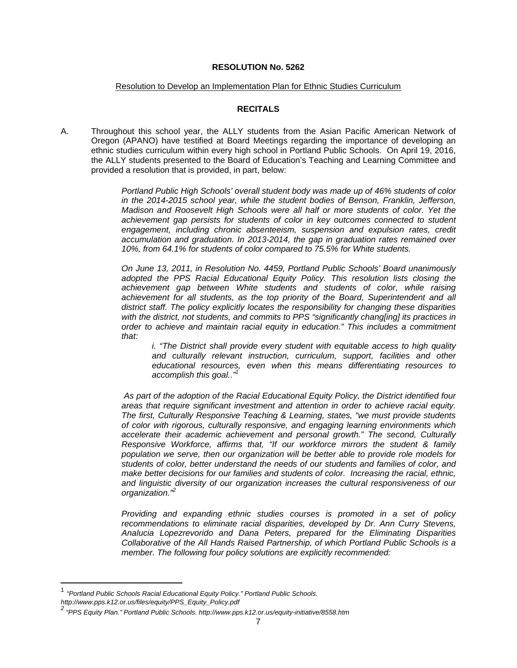#### **RESOLUTION No. 5262**

#### Resolution to Develop an Implementation Plan for Ethnic Studies Curriculum

#### **RECITALS**

A. Throughout this school year, the ALLY students from the Asian Pacific American Network of Oregon (APANO) have testified at Board Meetings regarding the importance of developing an ethnic studies curriculum within every high school in Portland Public Schools. On April 19, 2016, the ALLY students presented to the Board of Education's Teaching and Learning Committee and provided a resolution that is provided, in part, below:

> *Portland Public High Schools' overall student body was made up of 46% students of color in the 2014-2015 school year, while the student bodies of Benson, Franklin, Jefferson, Madison and Roosevelt High Schools were all half or more students of color. Yet the achievement gap persists for students of color in key outcomes connected to student*  engagement, including chronic absenteeism, suspension and expulsion rates, credit *accumulation and graduation. In 2013-2014, the gap in graduation rates remained over 10%, from 64.1% for students of color compared to 75.5% for White students.*

> *On June 13, 2011, in Resolution No. 4459, Portland Public Schools' Board unanimously adopted the PPS Racial Educational Equity Policy. This resolution lists closing the achievement gap between White students and students of color, while raising achievement for all students, as the top priority of the Board, Superintendent and all district staff. The policy explicitly locates the responsibility for changing these disparities with the district, not students, and commits to PPS "significantly chang[ing] its practices in order to achieve and maintain racial equity in education." This includes a commitment that:*

*i.* "The District shall provide every student with equitable access to high quality and culturally relevant instruction, curriculum, support, facilities and other *educational resources, even when this means differentiating resources to accomplish this goal.."1*

*As part of the adoption of the Racial Educational Equity Policy, the District identified four areas that require significant investment and attention in order to achieve racial equity. The first, Culturally Responsive Teaching & Learning, states, "we must provide students of color with rigorous, culturally responsive, and engaging learning environments which accelerate their academic achievement and personal growth." The second, Culturally Responsive Workforce, affirms that, "If our workforce mirrors the student & family population we serve, then our organization will be better able to provide role models for students of color, better understand the needs of our students and families of color, and make better decisions for our families and students of color. Increasing the racial, ethnic, and linguistic diversity of our organization increases the cultural responsiveness of our organization."2*

*Providing and expanding ethnic studies courses is promoted in a set of policy recommendations to eliminate racial disparities, developed by Dr. Ann Curry Stevens, Analucia Lopezrevorido and Dana Peters, prepared for the Eliminating Disparities Collaborative of the All Hands Raised Partnership, of which Portland Public Schools is a member. The following four policy solutions are explicitly recommended:* 

<sup>1</sup> *"Portland Public Schools Racial Educational Equity Policy." Portland Public Schools. http://www.pps.k12.or.us/files/equity/PPS\_Equity\_Policy.pdf 2*

 *<sup>&</sup>quot;PPS Equity Plan." Portland Public Schools. http://www.pps.k12.or.us/equity-initiative/8558.htm*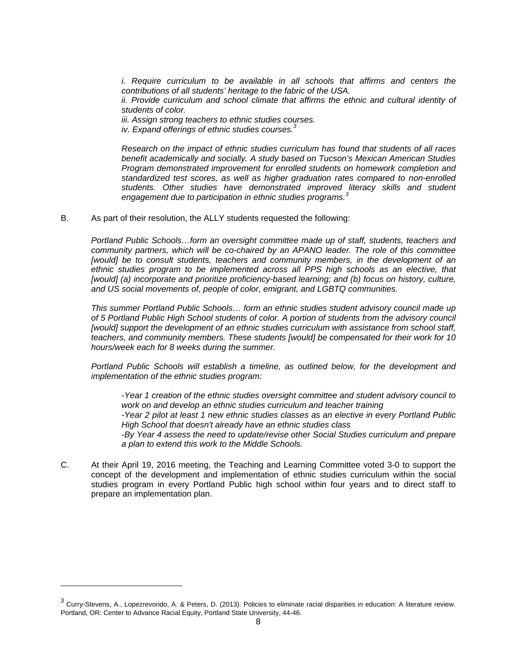*i. Require curriculum to be available in all schools that affirms and centers the contributions of all students' heritage to the fabric of the USA. ii. Provide curriculum and school climate that affirms the ethnic and cultural identity of* 

*students of color.* 

*iii. Assign strong teachers to ethnic studies courses. iv. Expand offerings of ethnic studies courses.3*

*Research on the impact of ethnic studies curriculum has found that students of all races benefit academically and socially. A study based on Tucson's Mexican American Studies Program demonstrated improvement for enrolled students on homework completion and standardized test scores, as well as higher graduation rates compared to non-enrolled students. Other studies have demonstrated improved literacy skills and student engagement due to participation in ethnic studies programs.<sup>3</sup>*

B. As part of their resolution, the ALLY students requested the following:

*Portland Public Schools…form an oversight committee made up of staff, students, teachers and community partners, which will be co-chaired by an APANO leader. The role of this committee [would] be to consult students, teachers and community members, in the development of an ethnic studies program to be implemented across all PPS high schools as an elective, that*  [would] (a) incorporate and prioritize proficiency-based learning; and (b) focus on history, culture, *and US social movements of, people of color, emigrant, and LGBTQ communities.* 

*This summer Portland Public Schools… form an ethnic studies student advisory council made up of 5 Portland Public High School students of color. A portion of students from the advisory council*  [would] support the development of an ethnic studies curriculum with assistance from school staff, *teachers, and community members. These students [would] be compensated for their work for 10 hours/week each for 8 weeks during the summer.* 

*Portland Public Schools will establish a timeline, as outlined below, for the development and implementation of the ethnic studies program:* 

*-Year 1 creation of the ethnic studies oversight committee and student advisory council to work on and develop an ethnic studies curriculum and teacher training -Year 2 pilot at least 1 new ethnic studies classes as an elective in every Portland Public High School that doesn't already have an ethnic studies class -By Year 4 assess the need to update/revise other Social Studies curriculum and prepare a plan to extend this work to the Middle Schools.* 

C. At their April 19, 2016 meeting, the Teaching and Learning Committee voted 3-0 to support the concept of the development and implementation of ethnic studies curriculum within the social studies program in every Portland Public high school within four years and to direct staff to prepare an implementation plan.

 $^3$  Curry-Stevens, A., Lopezrevorido, A. & Peters, D. (2013). Policies to eliminate racial disparities in education: A literature review. Portland, OR: Center to Advance Racial Equity, Portland State University, 44-46.